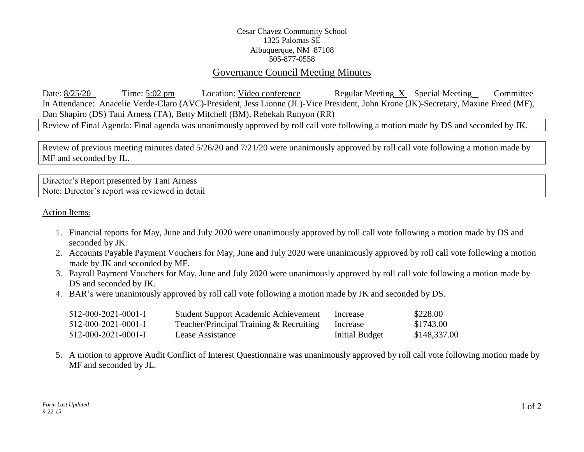## Cesar Chavez Community School 1325 Palomas SE Albuquerque, NM 87108 505-877-0558

## Governance Council Meeting Minutes

Date: 8/25/20 Time: 5:02 pm Location: Video conference Regular Meeting X Special Meeting Committee In Attendance: Anacelie Verde-Claro (AVC)-President, Jess Lionne (JL)-Vice President, John Krone (JK)-Secretary, Maxine Freed (MF), Dan Shapiro (DS) Tani Arness (TA), Betty Mitchell (BM), Rebekah Runyon (RR)

Review of Final Agenda: Final agenda was unanimously approved by roll call vote following a motion made by DS and seconded by JK.

Review of previous meeting minutes dated 5/26/20 and 7/21/20 were unanimously approved by roll call vote following a motion made by MF and seconded by JL.

Director's Report presented by Tani Arness Note: Director's report was reviewed in detail

Action Items:

- 1. Financial reports for May, June and July 2020 were unanimously approved by roll call vote following a motion made by DS and seconded by JK.
- 2. Accounts Payable Payment Vouchers for May, June and July 2020 were unanimously approved by roll call vote following a motion made by JK and seconded by MF.
- 3. Payroll Payment Vouchers for May, June and July 2020 were unanimously approved by roll call vote following a motion made by DS and seconded by JK.
- 4. BAR's were unanimously approved by roll call vote following a motion made by JK and seconded by DS.

| $512-000-2021-0001-I$ | <b>Student Support Academic Achievement</b> | Increase       | \$228.00     |
|-----------------------|---------------------------------------------|----------------|--------------|
| $512-000-2021-0001-I$ | Teacher/Principal Training & Recruiting     | Increase       | \$1743.00    |
| $512-000-2021-0001-I$ | Lease Assistance                            | Initial Budget | \$148,337.00 |

5. A motion to approve Audit Conflict of Interest Questionnaire was unanimously approved by roll call vote following motion made by MF and seconded by JL.